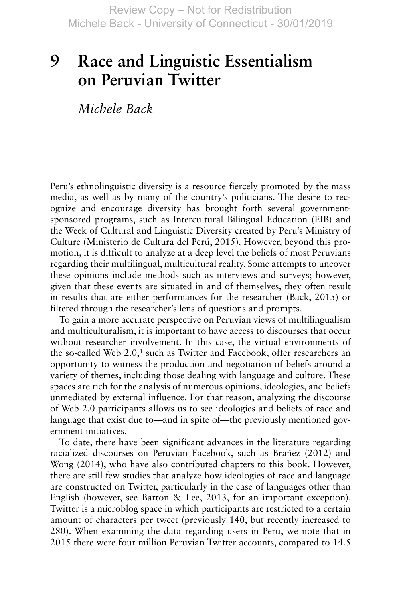## **Race and Linguistic Essentialism on Peruvian Twitter 9**

 *Michele Back* 

Peru's ethnolinguistic diversity is a resource fiercely promoted by the mass media, as well as by many of the country's politicians. The desire to recognize and encourage diversity has brought forth several governmentsponsored programs, such as Intercultural Bilingual Education (EIB) and the Week of Cultural and Linguistic Diversity created by Peru's Ministry of Culture ( Ministerio de Cultura del Perú, 2015 ). However, beyond this promotion, it is difficult to analyze at a deep level the beliefs of most Peruvians regarding their multilingual, multicultural reality. Some attempts to uncover these opinions include methods such as interviews and surveys; however, given that these events are situated in and of themselves, they often result in results that are either performances for the researcher (Back, 2015) or filtered through the researcher's lens of questions and prompts.

To gain a more accurate perspective on Peruvian views of multilingualism and multiculturalism, it is important to have access to discourses that occur without researcher involvement. In this case, the virtual environments of the so-called Web 2.0,<sup>1</sup> such as Twitter and Facebook, offer researchers an opportunity to witness the production and negotiation of beliefs around a variety of themes, including those dealing with language and culture. These spaces are rich for the analysis of numerous opinions, ideologies, and beliefs unmediated by external influence. For that reason, analyzing the discourse of Web 2.0 participants allows us to see ideologies and beliefs of race and language that exist due to—and in spite of—the previously mentioned government initiatives.

To date, there have been significant advances in the literature regarding racialized discourses on Peruvian Facebook, such as Brañez (2012) and Wong  $(2014)$ , who have also contributed chapters to this book. However, there are still few studies that analyze how ideologies of race and language are constructed on Twitter, particularly in the case of languages other than English (however, see Barton & Lee, 2013, for an important exception). Twitter is a microblog space in which participants are restricted to a certain amount of characters per tweet (previously 140, but recently increased to 280). When examining the data regarding users in Peru, we note that in 2015 there were four million Peruvian Twitter accounts, compared to 14.5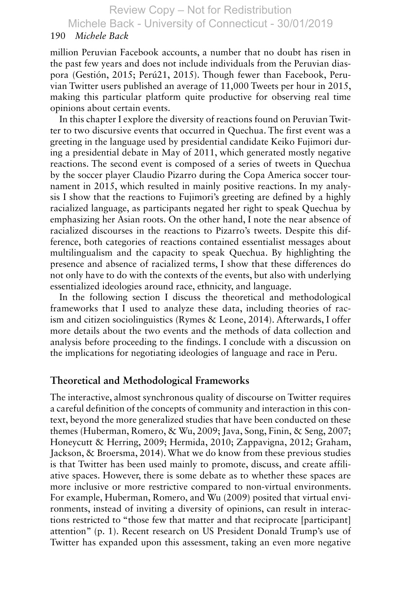#### 190 *Michele Back*

million Peruvian Facebook accounts, a number that no doubt has risen in the past few years and does not include individuals from the Peruvian diaspora ( Gestión, 2015 ; Perú21, 2015 ). Though fewer than Facebook, Peruvian Twitter users published an average of 11,000 Tweets per hour in 2015, making this particular platform quite productive for observing real time opinions about certain events.

In this chapter I explore the diversity of reactions found on Peruvian Twitter to two discursive events that occurred in Quechua. The first event was a greeting in the language used by presidential candidate Keiko Fujimori during a presidential debate in May of 2011, which generated mostly negative reactions. The second event is composed of a series of tweets in Quechua by the soccer player Claudio Pizarro during the Copa America soccer tournament in 2015, which resulted in mainly positive reactions. In my analysis I show that the reactions to Fujimori's greeting are defined by a highly racialized language, as participants negated her right to speak Quechua by emphasizing her Asian roots. On the other hand, I note the near absence of racialized discourses in the reactions to Pizarro's tweets. Despite this difference, both categories of reactions contained essentialist messages about multilingualism and the capacity to speak Quechua. By highlighting the presence and absence of racialized terms, I show that these differences do not only have to do with the contexts of the events, but also with underlying essentialized ideologies around race, ethnicity, and language.

In the following section I discuss the theoretical and methodological frameworks that I used to analyze these data, including theories of racism and citizen sociolinguistics ( Rymes & Leone, 2014 ). Afterwards, I offer more details about the two events and the methods of data collection and analysis before proceeding to the findings. I conclude with a discussion on the implications for negotiating ideologies of language and race in Peru.

## **Theoretical and Methodological Frameworks**

The interactive, almost synchronous quality of discourse on Twitter requires a careful definition of the concepts of community and interaction in this context, beyond the more generalized studies that have been conducted on these themes (Huberman, Romero,  $\&$  Wu, 2009; Java, Song, Finin,  $\&$  Seng, 2007; Honeycutt & Herring, 2009; Hermida, 2010; Zappavigna, 2012; Graham, Jackson, & Broersma, 2014 ). What we do know from these previous studies is that Twitter has been used mainly to promote, discuss, and create affiliative spaces. However, there is some debate as to whether these spaces are more inclusive or more restrictive compared to non-virtual environments. For example, Huberman, Romero, and Wu (2009) posited that virtual environments, instead of inviting a diversity of opinions, can result in interactions restricted to "those few that matter and that reciprocate [participant] attention" (p. 1). Recent research on US President Donald Trump's use of Twitter has expanded upon this assessment, taking an even more negative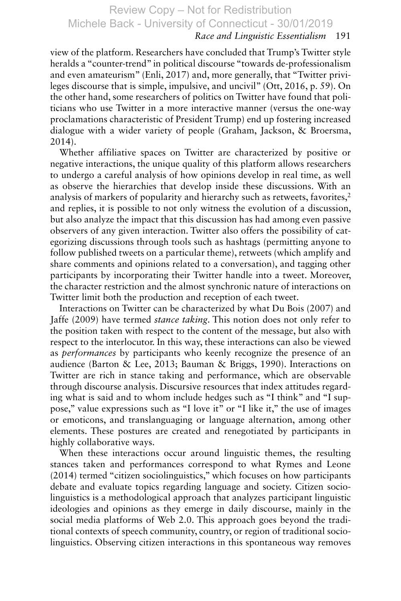### *Race and Linguistic Essentialism* 191

view of the platform. Researchers have concluded that Trump's Twitter style heralds a "counter-trend" in political discourse "towards de-professionalism and even amateurism" (Enli, 2017) and, more generally, that "Twitter privileges discourse that is simple, impulsive, and uncivil" (Ott, 2016, p. 59). On the other hand, some researchers of politics on Twitter have found that politicians who use Twitter in a more interactive manner (versus the one-way proclamations characteristic of President Trump) end up fostering increased dialogue with a wider variety of people (Graham, Jackson, & Broersma,  $2014$ .

Whether affiliative spaces on Twitter are characterized by positive or negative interactions, the unique quality of this platform allows researchers to undergo a careful analysis of how opinions develop in real time, as well as observe the hierarchies that develop inside these discussions. With an analysis of markers of popularity and hierarchy such as retweets, favorites,<sup>2</sup> and replies, it is possible to not only witness the evolution of a discussion, but also analyze the impact that this discussion has had among even passive observers of any given interaction. Twitter also offers the possibility of categorizing discussions through tools such as hashtags (permitting anyone to follow published tweets on a particular theme), retweets (which amplify and share comments and opinions related to a conversation), and tagging other participants by incorporating their Twitter handle into a tweet. Moreover, the character restriction and the almost synchronic nature of interactions on Twitter limit both the production and reception of each tweet.

Interactions on Twitter can be characterized by what Du Bois (2007) and Jaffe (2009 ) have termed *stance taking*. This notion does not only refer to the position taken with respect to the content of the message, but also with respect to the interlocutor. In this way, these interactions can also be viewed as *performances* by participants who keenly recognize the presence of an audience (Barton & Lee, 2013; Bauman & Briggs, 1990). Interactions on Twitter are rich in stance taking and performance, which are observable through discourse analysis. Discursive resources that index attitudes regarding what is said and to whom include hedges such as "I think" and "I suppose," value expressions such as "I love it" or "I like it," the use of images or emoticons, and translanguaging or language alternation, among other elements. These postures are created and renegotiated by participants in highly collaborative ways.

When these interactions occur around linguistic themes, the resulting stances taken and performances correspond to what Rymes and Leone (2014 ) termed "citizen sociolinguistics," which focuses on how participants debate and evaluate topics regarding language and society. Citizen sociolinguistics is a methodological approach that analyzes participant linguistic ideologies and opinions as they emerge in daily discourse, mainly in the social media platforms of Web 2.0. This approach goes beyond the traditional contexts of speech community, country, or region of traditional sociolinguistics. Observing citizen interactions in this spontaneous way removes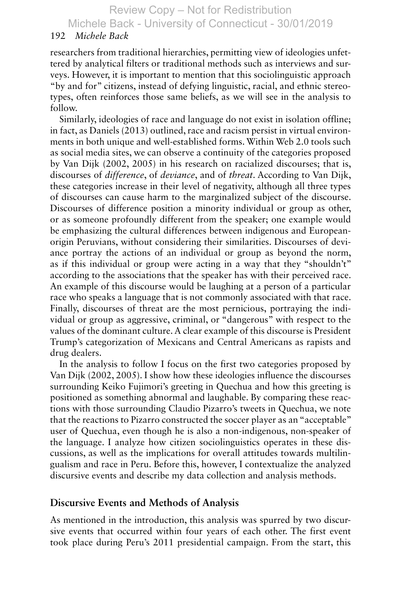Michele Back - University of Connecticut - 30/01/2019

#### 192 *Michele Back*

researchers from traditional hierarchies, permitting view of ideologies unfettered by analytical filters or traditional methods such as interviews and surveys. However, it is important to mention that this sociolinguistic approach "by and for" citizens, instead of defying linguistic, racial, and ethnic stereotypes, often reinforces those same beliefs, as we will see in the analysis to follow.

Similarly, ideologies of race and language do not exist in isolation offline; in fact, as Daniels (2013 ) outlined, race and racism persist in virtual environments in both unique and well-established forms. Within Web 2.0 tools such as social media sites, we can observe a continuity of the categories proposed by Van Dijk (2002, 2005) in his research on racialized discourses; that is, discourses of *difference*, of *deviance*, and of *threat*. According to Van Dijk, these categories increase in their level of negativity, although all three types of discourses can cause harm to the marginalized subject of the discourse. Discourses of difference position a minority individual or group as other, or as someone profoundly different from the speaker; one example would be emphasizing the cultural differences between indigenous and Europeanorigin Peruvians, without considering their similarities. Discourses of deviance portray the actions of an individual or group as beyond the norm, as if this individual or group were acting in a way that they "shouldn't" according to the associations that the speaker has with their perceived race. An example of this discourse would be laughing at a person of a particular race who speaks a language that is not commonly associated with that race. Finally, discourses of threat are the most pernicious, portraying the individual or group as aggressive, criminal, or "dangerous" with respect to the values of the dominant culture. A clear example of this discourse is President Trump's categorization of Mexicans and Central Americans as rapists and drug dealers.

In the analysis to follow I focus on the first two categories proposed by Van Dijk (2002, 2005). I show how these ideologies influence the discourses surrounding Keiko Fujimori's greeting in Quechua and how this greeting is positioned as something abnormal and laughable. By comparing these reactions with those surrounding Claudio Pizarro's tweets in Quechua, we note that the reactions to Pizarro constructed the soccer player as an "acceptable" user of Quechua, even though he is also a non-indigenous, non-speaker of the language. I analyze how citizen sociolinguistics operates in these discussions, as well as the implications for overall attitudes towards multilingualism and race in Peru. Before this, however, I contextualize the analyzed discursive events and describe my data collection and analysis methods.

#### **Discursive Events and Methods of Analysis**

As mentioned in the introduction, this analysis was spurred by two discursive events that occurred within four years of each other. The first event took place during Peru's 2011 presidential campaign. From the start, this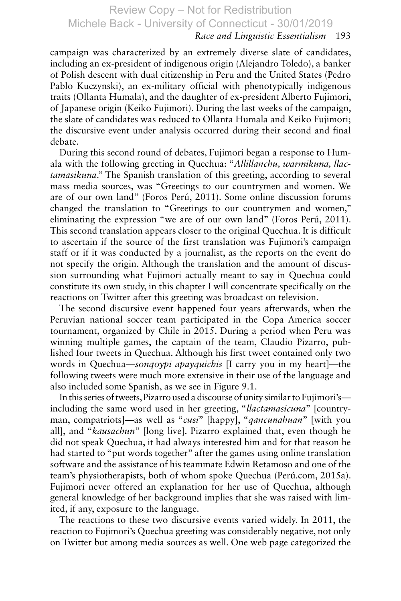## *Race and Linguistic Essentialism* 193

campaign was characterized by an extremely diverse slate of candidates, including an ex-president of indigenous origin (Alejandro Toledo), a banker of Polish descent with dual citizenship in Peru and the United States (Pedro Pablo Kuczynski), an ex-military official with phenotypically indigenous traits (Ollanta Humala), and the daughter of ex-president Alberto Fujimori, of Japanese origin (Keiko Fujimori). During the last weeks of the campaign, the slate of candidates was reduced to Ollanta Humala and Keiko Fujimori; the discursive event under analysis occurred during their second and final debate.

During this second round of debates, Fujimori began a response to Humala with the following greeting in Quechua: " *Allillanchu, warmikuna, llactamasikuna*." The Spanish translation of this greeting, according to several mass media sources, was "Greetings to our countrymen and women. We are of our own land" (Foros Perú, 2011). Some online discussion forums changed the translation to "Greetings to our countrymen and women," eliminating the expression "we are of our own land" (Foros Perú, 2011). This second translation appears closer to the original Quechua. It is difficult to ascertain if the source of the first translation was Fujimori's campaign staff or if it was conducted by a journalist, as the reports on the event do not specify the origin. Although the translation and the amount of discussion surrounding what Fujimori actually meant to say in Quechua could constitute its own study, in this chapter I will concentrate specifically on the reactions on Twitter after this greeting was broadcast on television.

The second discursive event happened four years afterwards, when the Peruvian national soccer team participated in the Copa America soccer tournament, organized by Chile in 2015. During a period when Peru was winning multiple games, the captain of the team, Claudio Pizarro, published four tweets in Quechua. Although his first tweet contained only two words in Quechua— *sonqoypi apayquichis* [I carry you in my heart]—the following tweets were much more extensive in their use of the language and also included some Spanish, as we see in Figure 9.1 .

In this series of tweets, Pizarro used a discourse of unity similar to Fujimori's including the same word used in her greeting, " *llactamasicuna*" [countryman, compatriots]—as well as " *cusi*" [happy], " *qancunahuan*" [with you all], and " *kausachun*" [long live]. Pizarro explained that, even though he did not speak Quechua, it had always interested him and for that reason he had started to "put words together" after the games using online translation software and the assistance of his teammate Edwin Retamoso and one of the team's physiotherapists, both of whom spoke Quechua (Perú.com, 2015a). Fujimori never offered an explanation for her use of Quechua, although general knowledge of her background implies that she was raised with limited, if any, exposure to the language.

The reactions to these two discursive events varied widely. In 2011, the reaction to Fujimori's Quechua greeting was considerably negative, not only on Twitter but among media sources as well. One web page categorized the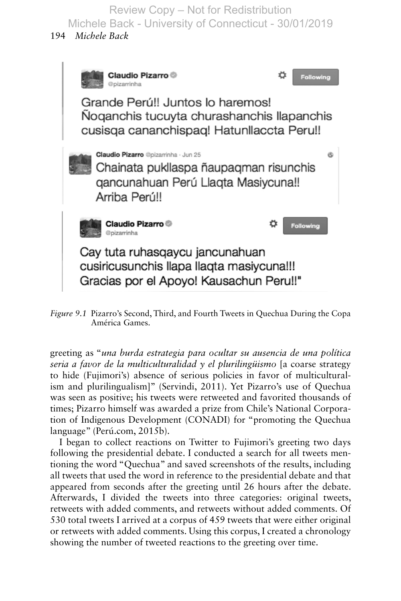194 *Michele Back*



*Figure 9.1* Pizarro's Second, Third, and Fourth Tweets in Quechua During the Copa América Games.

greeting as " *una burda estrategia para ocultar su ausencia de una política seria a favor de la multiculturalidad y el plurilingüismo* [a coarse strategy to hide (Fujimori's) absence of serious policies in favor of multiculturalism and plurilingualism]" ( Servindi, 2011 ). Yet Pizarro's use of Quechua was seen as positive; his tweets were retweeted and favorited thousands of times; Pizarro himself was awarded a prize from Chile's National Corporation of Indigenous Development (CONADI) for "promoting the Quechua language" (Perú.com, 2015b).

I began to collect reactions on Twitter to Fujimori's greeting two days following the presidential debate. I conducted a search for all tweets mentioning the word "Quechua" and saved screenshots of the results, including all tweets that used the word in reference to the presidential debate and that appeared from seconds after the greeting until 26 hours after the debate. Afterwards, I divided the tweets into three categories: original tweets, retweets with added comments, and retweets without added comments. Of 530 total tweets I arrived at a corpus of 459 tweets that were either original or retweets with added comments. Using this corpus, I created a chronology showing the number of tweeted reactions to the greeting over time.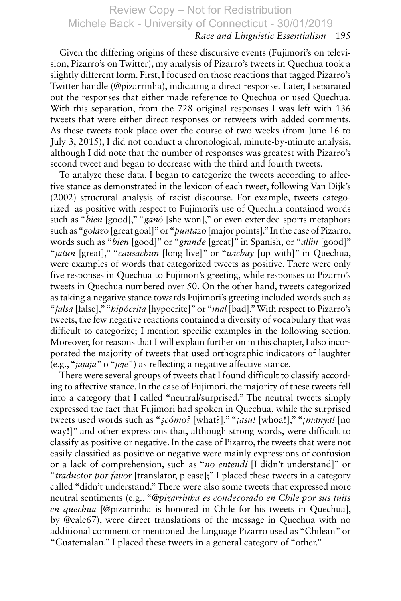## *Race and Linguistic Essentialism* 195

Given the differing origins of these discursive events (Fujimori's on television, Pizarro's on Twitter), my analysis of Pizarro's tweets in Quechua took a slightly different form. First, I focused on those reactions that tagged Pizarro's Twitter handle (@pizarrinha), indicating a direct response. Later, I separated out the responses that either made reference to Quechua or used Quechua. With this separation, from the 728 original responses I was left with 136 tweets that were either direct responses or retweets with added comments. As these tweets took place over the course of two weeks (from June 16 to July 3, 2015), I did not conduct a chronological, minute-by-minute analysis, although I did note that the number of responses was greatest with Pizarro's second tweet and began to decrease with the third and fourth tweets.

To analyze these data, I began to categorize the tweets according to affective stance as demonstrated in the lexicon of each tweet, following Van Dijk's (2002) structural analysis of racist discourse. For example, tweets categorized as positive with respect to Fujimori's use of Quechua contained words such as "*bien* [good]," "*ganó* [she won]," or even extended sports metaphors such as " *golazo* [great goal]" or " *puntazo* [major points]." In the case of Pizarro, words such as "*bien* [good]" or "*grande* [great]" in Spanish, or "*allin* [good]" " *jatun* [great]," " *causachun* [long live]" or " *wichay* [up with]" in Quechua, were examples of words that categorized tweets as positive. There were only five responses in Quechua to Fujimori's greeting, while responses to Pizarro's tweets in Quechua numbered over 50. On the other hand, tweets categorized as taking a negative stance towards Fujimori's greeting included words such as " *falsa* [false]," " *hipócrita* [hypocrite]" or " *mal* [bad]." With respect to Pizarro's tweets, the few negative reactions contained a diversity of vocabulary that was difficult to categorize; I mention specific examples in the following section. Moreover, for reasons that I will explain further on in this chapter, I also incorporated the majority of tweets that used orthographic indicators of laughter (e.g., " *jajaja*" o " *jeje*") as reflecting a negative affective stance.

There were several groups of tweets that I found difficult to classify according to affective stance. In the case of Fujimori, the majority of these tweets fell into a category that I called "neutral/surprised." The neutral tweets simply expressed the fact that Fujimori had spoken in Quechua, while the surprised tweets used words such as " *¿cómo?* [what?]," " *¡asu!* [whoa!]," " *¡manya!* [no way!]" and other expressions that, although strong words, were difficult to classify as positive or negative. In the case of Pizarro, the tweets that were not easily classified as positive or negative were mainly expressions of confusion or a lack of comprehension, such as " *no entendí* [I didn't understand]" or " *traductor por favor* [translator, please];" I placed these tweets in a category called "didn't understand." There were also some tweets that expressed more neutral sentiments (e.g., " *@pizarrinha es condecorado en Chile por sus tuits en quechua* [@pizarrinha is honored in Chile for his tweets in Quechua], by @cale67), were direct translations of the message in Quechua with no additional comment or mentioned the language Pizarro used as "Chilean" or "Guatemalan." I placed these tweets in a general category of "other."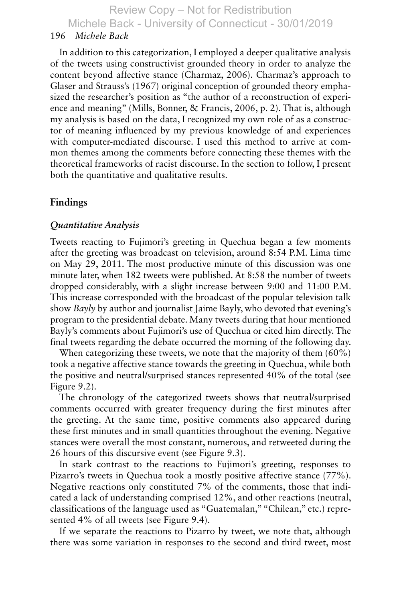#### 196 *Michele Back*

In addition to this categorization, I employed a deeper qualitative analysis of the tweets using constructivist grounded theory in order to analyze the content beyond affective stance ( Charmaz, 2006 ). Charmaz's approach to Glaser and Strauss's (1967 ) original conception of grounded theory emphasized the researcher's position as "the author of a reconstruction of experience and meaning" (Mills, Bonner, & Francis, 2006, p. 2). That is, although my analysis is based on the data, I recognized my own role of as a constructor of meaning influenced by my previous knowledge of and experiences with computer-mediated discourse. I used this method to arrive at common themes among the comments before connecting these themes with the theoretical frameworks of racist discourse. In the section to follow, I present both the quantitative and qualitative results.

#### **Findings**

#### *Quantitative Analysis*

Tweets reacting to Fujimori's greeting in Quechua began a few moments after the greeting was broadcast on television, around 8:54 P.M. Lima time on May 29, 2011. The most productive minute of this discussion was one minute later, when 182 tweets were published. At 8:58 the number of tweets dropped considerably, with a slight increase between 9:00 and 11:00 P.M. This increase corresponded with the broadcast of the popular television talk show *Bayly* by author and journalist Jaime Bayly, who devoted that evening's program to the presidential debate. Many tweets during that hour mentioned Bayly's comments about Fujimori's use of Quechua or cited him directly. The final tweets regarding the debate occurred the morning of the following day.

When categorizing these tweets, we note that the majority of them (60%) took a negative affective stance towards the greeting in Quechua, while both the positive and neutral/surprised stances represented 40% of the total (see Figure  $9.2$ ).

The chronology of the categorized tweets shows that neutral/surprised comments occurred with greater frequency during the first minutes after the greeting. At the same time, positive comments also appeared during these first minutes and in small quantities throughout the evening. Negative stances were overall the most constant, numerous, and retweeted during the 26 hours of this discursive event (see Figure 9.3 ).

In stark contrast to the reactions to Fujimori's greeting, responses to Pizarro's tweets in Quechua took a mostly positive affective stance (77%). Negative reactions only constituted 7% of the comments, those that indicated a lack of understanding comprised 12%, and other reactions (neutral, classifications of the language used as "Guatemalan," "Chilean," etc.) represented 4% of all tweets (see Figure 9.4).

If we separate the reactions to Pizarro by tweet, we note that, although there was some variation in responses to the second and third tweet, most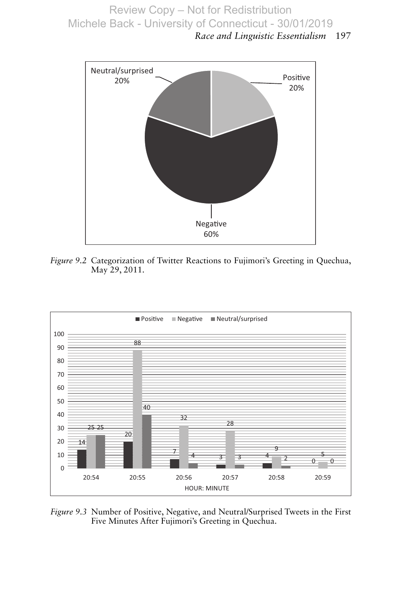*Race and Linguistic Essentialism* 197



*Figure 9.2* Categorization of Twitter Reactions to Fujimori's Greeting in Quechua, May 29, 2011.



*Figure 9.3* Number of Positive, Negative, and Neutral/Surprised Tweets in the First Five Minutes After Fujimori's Greeting in Quechua.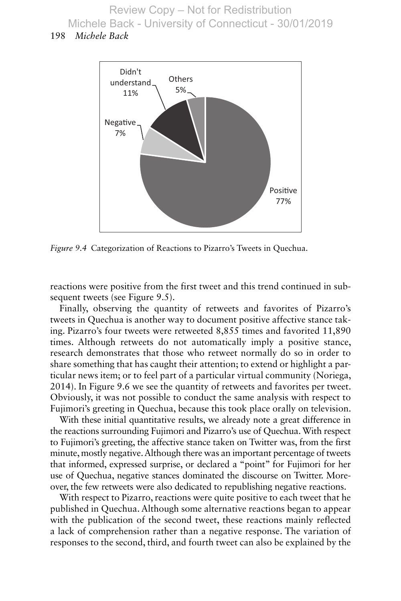### 198 *Michele Back*



*Figure 9.4* Categorization of Reactions to Pizarro's Tweets in Quechua.

reactions were positive from the first tweet and this trend continued in subsequent tweets (see Figure 9.5).

Finally, observing the quantity of retweets and favorites of Pizarro's tweets in Quechua is another way to document positive affective stance taking. Pizarro's four tweets were retweeted 8,855 times and favorited 11,890 times. Although retweets do not automatically imply a positive stance, research demonstrates that those who retweet normally do so in order to share something that has caught their attention; to extend or highlight a particular news item; or to feel part of a particular virtual community (Noriega, 2014 ). In Figure 9.6 we see the quantity of retweets and favorites per tweet. Obviously, it was not possible to conduct the same analysis with respect to Fujimori's greeting in Quechua, because this took place orally on television.

With these initial quantitative results, we already note a great difference in the reactions surrounding Fujimori and Pizarro's use of Quechua. With respect to Fujimori's greeting, the affective stance taken on Twitter was, from the first minute, mostly negative. Although there was an important percentage of tweets that informed, expressed surprise, or declared a "point" for Fujimori for her use of Quechua, negative stances dominated the discourse on Twitter. Moreover, the few retweets were also dedicated to republishing negative reactions.

With respect to Pizarro, reactions were quite positive to each tweet that he published in Quechua. Although some alternative reactions began to appear with the publication of the second tweet, these reactions mainly reflected a lack of comprehension rather than a negative response. The variation of responses to the second, third, and fourth tweet can also be explained by the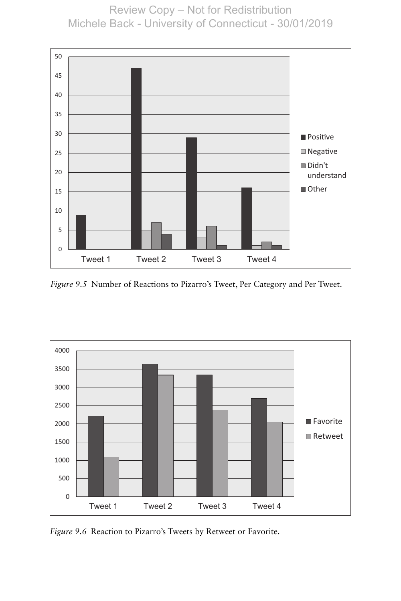

*Figure 9.5* Number of Reactions to Pizarro's Tweet, Per Category and Per Tweet.



*Figure 9.6* Reaction to Pizarro's Tweets by Retweet or Favorite.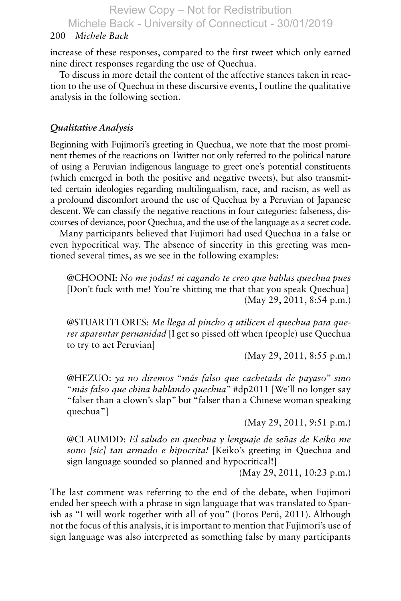#### 200 *Michele Back*

increase of these responses, compared to the first tweet which only earned nine direct responses regarding the use of Quechua.

To discuss in more detail the content of the affective stances taken in reaction to the use of Quechua in these discursive events, I outline the qualitative analysis in the following section.

## *Qualitative Analysis*

Beginning with Fujimori's greeting in Quechua, we note that the most prominent themes of the reactions on Twitter not only referred to the political nature of using a Peruvian indigenous language to greet one's potential constituents (which emerged in both the positive and negative tweets), but also transmitted certain ideologies regarding multilingualism, race, and racism, as well as a profound discomfort around the use of Quechua by a Peruvian of Japanese descent. We can classify the negative reactions in four categories: falseness, discourses of deviance, poor Quechua, and the use of the language as a secret code.

Many participants believed that Fujimori had used Quechua in a false or even hypocritical way. The absence of sincerity in this greeting was mentioned several times, as we see in the following examples:

 @CHOONI : *No me jodas! ni cagando te creo que hablas quechua pues* [Don't fuck with me! You're shitting me that that you speak Quechua] (May 29, 2011, 8:54 p.m.)

@STUARTFLORES: Me llega al pincho q utilicen el quechua para que*rer aparentar peruanidad* [I get so pissed off when (people) use Quechua to try to act Peruvian]

(May 29, 2011, 8:55 p.m.)

 @HEZUO : *ya no diremos* " *más falso que cachetada de payaso*" *sino* " *más falso que china hablando quechua*" #dp2011 [We'll no longer say "falser than a clown's slap" but "falser than a Chinese woman speaking quechua"]

(May 29, 2011, 9:51 p.m.)

 @CLAUMDD : *El saludo en quechua y lenguaje de señas de Keiko me sono [sic] tan armado e hipocrita!* [Keiko's greeting in Quechua and sign language sounded so planned and hypocritical!]

(May 29, 2011, 10:23 p.m.)

The last comment was referring to the end of the debate, when Fujimori ended her speech with a phrase in sign language that was translated to Spanish as "I will work together with all of you" (Foros Perú, 2011). Although not the focus of this analysis, it is important to mention that Fujimori's use of sign language was also interpreted as something false by many participants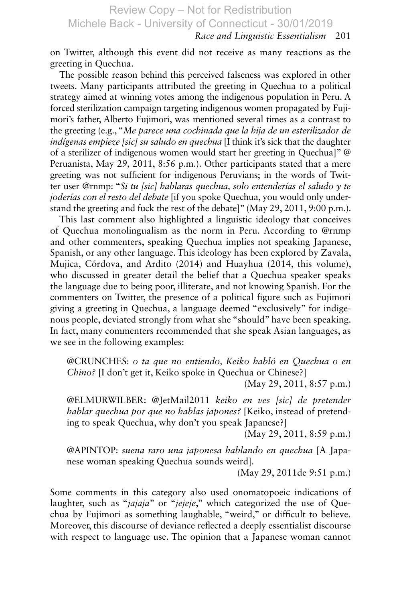## *Race and Linguistic Essentialism* 201

on Twitter, although this event did not receive as many reactions as the greeting in Quechua.

The possible reason behind this perceived falseness was explored in other tweets. Many participants attributed the greeting in Quechua to a political strategy aimed at winning votes among the indigenous population in Peru. A forced sterilization campaign targeting indigenous women propagated by Fujimori's father, Alberto Fujimori, was mentioned several times as a contrast to the greeting (e.g., " *Me parece una cochinada que la hija de un esterilizador de indígenas empieze [sic] su saludo en quechua* [I think it's sick that the daughter of a sterilizer of indigenous women would start her greeting in Quechua]" @ Peruanista, May 29, 2011, 8:56 p.m.). Other participants stated that a mere greeting was not sufficient for indigenous Peruvians; in the words of Twitter user @rnmp: " *Si tu [sic] hablaras quechua, solo entenderías el saludo y te joderías con el resto del debate* [if you spoke Quechua, you would only understand the greeting and fuck the rest of the debate]" (May 29, 2011, 9:00 p.m.).

This last comment also highlighted a linguistic ideology that conceives of Quechua monolingualism as the norm in Peru. According to @rnmp and other commenters, speaking Quechua implies not speaking Japanese, Spanish, or any other language. This ideology has been explored by Zavala, Mujica, Córdova, and Ardito (2014) and Huayhua (2014, this volume), who discussed in greater detail the belief that a Quechua speaker speaks the language due to being poor, illiterate, and not knowing Spanish. For the commenters on Twitter, the presence of a political figure such as Fujimori giving a greeting in Quechua, a language deemed "exclusively" for indigenous people, deviated strongly from what she "should" have been speaking. In fact, many commenters recommended that she speak Asian languages, as we see in the following examples:

 @CRUNCHES : *o ta que no entiendo, Keiko habló en Quechua o en Chino?* [I don't get it, Keiko spoke in Quechua or Chinese?]

(May 29, 2011, 8:57 p.m.)

 @ELMURWILBER : @JetMail2011 *keiko en ves [sic] de pretender hablar quechua por que no hablas japones?* [Keiko, instead of pretending to speak Quechua, why don't you speak Japanese?]

(May 29, 2011, 8:59 p.m.)

@APINTOP: *suena raro una japonesa hablando en quechua* [A Japanese woman speaking Quechua sounds weird].

(May 29, 2011de 9:51 p.m.)

Some comments in this category also used onomatopoeic indications of laughter, such as "*jajaja*" or "*jejeje*," which categorized the use of Quechua by Fujimori as something laughable, "weird," or difficult to believe. Moreover, this discourse of deviance reflected a deeply essentialist discourse with respect to language use. The opinion that a Japanese woman cannot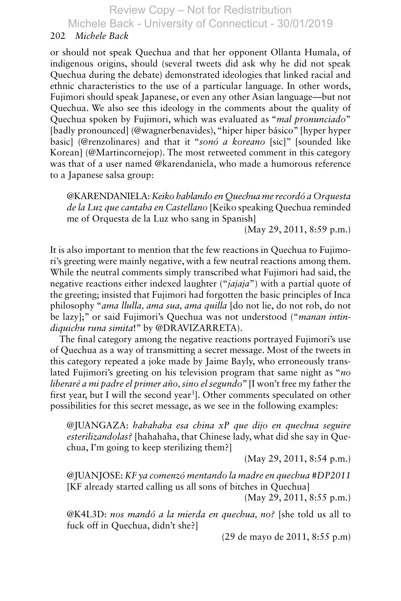#### 202 *Michele Back*

or should not speak Quechua and that her opponent Ollanta Humala, of indigenous origins, should (several tweets did ask why he did not speak Quechua during the debate) demonstrated ideologies that linked racial and ethnic characteristics to the use of a particular language. In other words, Fujimori should speak Japanese, or even any other Asian language—but not Quechua. We also see this ideology in the comments about the quality of Quechua spoken by Fujimori, which was evaluated as " *mal pronunciado* " [badly pronounced] (@wagnerbenavides), "hiper hiper básico" [hyper hyper basic] (@renzolinares) and that it " *sonó a koreano* [sic]" [sounded like Korean] (@Martincornejop). The most retweeted comment in this category was that of a user named @karendaniela, who made a humorous reference to a Japanese salsa group:

@KARENDANIELA : *Keiko hablando en Quechua me recordó a Orquesta de la Luz que cantaba en Castellano* [Keiko speaking Quechua reminded me of Orquesta de la Luz who sang in Spanish]

(May 29, 2011, 8:59 p.m.)

It is also important to mention that the few reactions in Quechua to Fujimori's greeting were mainly negative, with a few neutral reactions among them. While the neutral comments simply transcribed what Fujimori had said, the negative reactions either indexed laughter (" *jajaja*") with a partial quote of the greeting; insisted that Fujimori had forgotten the basic principles of Inca philosophy " *ama llulla, ama sua, ama quilla* [do not lie, do not rob, do not be lazy];" or said Fujimori's Quechua was not understood (" *manan intin*diquichu runa simita!" by @DRAVIZARRETA).

The final category among the negative reactions portrayed Fujimori's use of Quechua as a way of transmitting a secret message. Most of the tweets in this category repeated a joke made by Jaime Bayly, who erroneously translated Fujimori's greeting on his television program that same night as " *no liberaré a mi padre el primer año, sino el segundo*" [I won't free my father the first year, but I will the second year<sup>3</sup>]. Other comments speculated on other possibilities for this secret message, as we see in the following examples:

 @JUANGAZA : *hahahaha esa china xP que dijo en quechua seguire esterilizandolas?* [hahahaha, that Chinese lady, what did she say in Quechua, I'm going to keep sterilizing them?]

(May 29, 2011, 8:54 p.m.)

 @JUANJOSE : *KF ya comenzó mentando la madre en quechua #DP2011* [KF already started calling us all sons of bitches in Quechua]

(May 29, 2011, 8:55 p.m.)

@K4L3D: *nos mandó a la mierda en quechua, no?* [she told us all to fuck off in Quechua, didn't she?]

(29 de mayo de 2011, 8:55 p.m)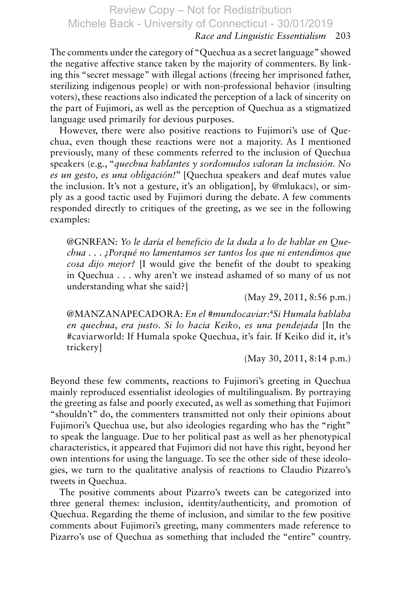## *Race and Linguistic Essentialism* 203

The comments under the category of "Quechua as a secret language" showed the negative affective stance taken by the majority of commenters. By linking this "secret message" with illegal actions (freeing her imprisoned father, sterilizing indigenous people) or with non-professional behavior (insulting voters), these reactions also indicated the perception of a lack of sincerity on the part of Fujimori, as well as the perception of Quechua as a stigmatized language used primarily for devious purposes.

However, there were also positive reactions to Fujimori's use of Quechua, even though these reactions were not a majority. As I mentioned previously, many of these comments referred to the inclusion of Quechua speakers (e.g., " *quechua hablantes y sordomudos valoran la inclusión. No es un gesto, es una obligación!*" [Quechua speakers and deaf mutes value the inclusion. It's not a gesture, it's an obligation], by @mlukacs), or simply as a good tactic used by Fujimori during the debate. A few comments responded directly to critiques of the greeting, as we see in the following examples:

 @GNRFAN : *Yo le daría el beneficio de la duda a lo de hablar en Quechua . . . ¿Porqué no lamentamos ser tantos los que ni entendimos que cosa dijo mejor?* [I would give the benefit of the doubt to speaking in Quechua . . . why aren't we instead ashamed of so many of us not understanding what she said?]

(May 29, 2011, 8:56 p.m.)

@MANZANAPECADORA : *En el #mundocaviar:*<sup>4</sup>*Si Humala hablaba en quechua*, *era justo. Si lo hacia Keiko, es una pendejada* [In the #caviarworld: If Humala spoke Quechua, it's fair. If Keiko did it, it's trickery]

(May 30, 2011, 8:14 p.m.)

Beyond these few comments, reactions to Fujimori's greeting in Quechua mainly reproduced essentialist ideologies of multilingualism. By portraying the greeting as false and poorly executed, as well as something that Fujimori "shouldn't" do, the commenters transmitted not only their opinions about Fujimori's Quechua use, but also ideologies regarding who has the "right" to speak the language. Due to her political past as well as her phenotypical characteristics, it appeared that Fujimori did not have this right, beyond her own intentions for using the language. To see the other side of these ideologies, we turn to the qualitative analysis of reactions to Claudio Pizarro's tweets in Quechua.

The positive comments about Pizarro's tweets can be categorized into three general themes: inclusion, identity/authenticity, and promotion of Quechua. Regarding the theme of inclusion, and similar to the few positive comments about Fujimori's greeting, many commenters made reference to Pizarro's use of Quechua as something that included the "entire" country.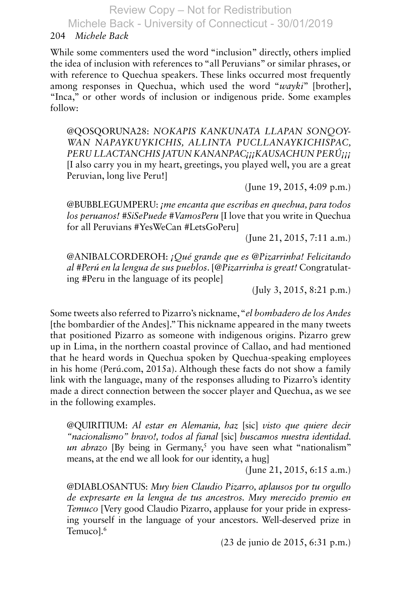Michele Back - University of Connecticut - 30/01/2019

## 204 *Michele Back*

While some commenters used the word "inclusion" directly, others implied the idea of inclusion with references to "all Peruvians" or similar phrases, or with reference to Quechua speakers. These links occurred most frequently among responses in Quechua, which used the word "*wayki*" [brother], "Inca," or other words of inclusion or indigenous pride. Some examples follow:

@QOSQORUNA28: NOKAPIS KANKUNATA LLAPAN SONOOY-*WAN NAPAYKUYKICHIS, ALLINTA PUCLLANAYKICHISPAC, PERU LLACTANCHIS JATUN KANANPAC¡¡¡KAUSACHUN PERÚ¡¡¡* [I also carry you in my heart, greetings, you played well, you are a great Peruvian, long live Peru!]

(June 19, 2015, 4:09 p.m.)

@BUBBLEGUMPERU : *¡me encanta que escribas en quechua, para todos los peruanos! #SiSePuede #VamosPeru* [I love that you write in Quechua for all Peruvians #YesWeCan #LetsGoPeru]

(June 21, 2015, 7:11 a.m.)

 @ANIBALCORDEROH : *¡Qué grande que es @Pizarrinha! Felicitando al #Perú en la lengua de sus pueblos*. [ *@Pizarrinha is great!* Congratulating #Peru in the language of its people]

(July 3, 2015, 8:21 p.m.)

Some tweets also referred to Pizarro's nickname, "*el bombadero de los Andes* [the bombardier of the Andes]." This nickname appeared in the many tweets that positioned Pizarro as someone with indigenous origins. Pizarro grew up in Lima, in the northern coastal province of Callao, and had mentioned that he heard words in Quechua spoken by Quechua-speaking employees in his home (Perú.com, 2015a). Although these facts do not show a family link with the language, many of the responses alluding to Pizarro's identity made a direct connection between the soccer player and Quechua, as we see in the following examples.

@QUIRITIUM : *Al estar en Alemania, haz* [sic] *visto que quiere decir "nacionalismo" bravo!, todos al fianal* [sic] *buscamos nuestra identidad.*   $un$  abrazo [By being in Germany,<sup>5</sup> you have seen what "nationalism" means, at the end we all look for our identity, a hug]

(June 21, 2015, 6:15 a.m.)

@DIABLOSANTUS: Muy bien Claudio Pizarro, aplausos por tu orgullo *de expresarte en la lengua de tus ancestros. Muy merecido premio en Temuco* [Very good Claudio Pizarro, applause for your pride in expressing yourself in the language of your ancestors. Well-deserved prize in Temucol.<sup>6</sup>

(23 de junio de 2015, 6:31 p.m.)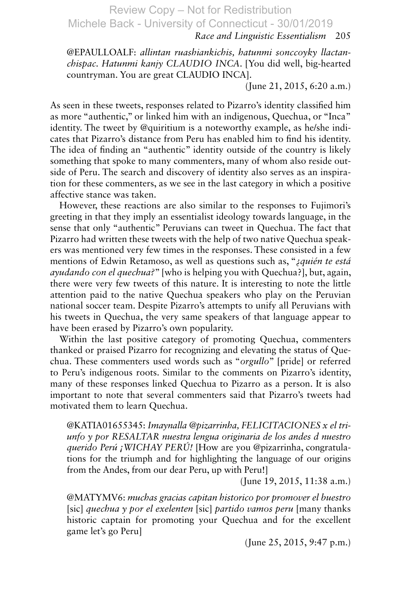#### *Race and Linguistic Essentialism* 205

@EPAULLOALF: allintan ruashiankichis, hatunmi sonccoyky llactan*chispac. Hatunmi kanjy CLAUDIO INCA*. [You did well, big-hearted countryman. You are great CLAUDIO INCA].

(June 21, 2015, 6:20 a.m.)

As seen in these tweets, responses related to Pizarro's identity classified him as more "authentic," or linked him with an indigenous, Quechua, or "Inca" identity. The tweet by @quiritium is a noteworthy example, as he/she indicates that Pizarro's distance from Peru has enabled him to find his identity. The idea of finding an "authentic" identity outside of the country is likely something that spoke to many commenters, many of whom also reside outside of Peru. The search and discovery of identity also serves as an inspiration for these commenters, as we see in the last category in which a positive affective stance was taken.

However, these reactions are also similar to the responses to Fujimori's greeting in that they imply an essentialist ideology towards language, in the sense that only "authentic" Peruvians can tweet in Quechua. The fact that Pizarro had written these tweets with the help of two native Quechua speakers was mentioned very few times in the responses. These consisted in a few mentions of Edwin Retamoso, as well as questions such as, " *¿quién te está ayudando con el quechua?*" [who is helping you with Quechua?], but, again, there were very few tweets of this nature. It is interesting to note the little attention paid to the native Quechua speakers who play on the Peruvian national soccer team. Despite Pizarro's attempts to unify all Peruvians with his tweets in Quechua, the very same speakers of that language appear to have been erased by Pizarro's own popularity.

Within the last positive category of promoting Quechua, commenters thanked or praised Pizarro for recognizing and elevating the status of Quechua. These commenters used words such as " *orgullo*" [pride] or referred to Peru's indigenous roots. Similar to the comments on Pizarro's identity, many of these responses linked Quechua to Pizarro as a person. It is also important to note that several commenters said that Pizarro's tweets had motivated them to learn Quechua.

@KATIA01655345 : *Imaynalla @pizarrinha, FELICITACIONES x el triunfo y por RESALTAR nuestra lengua originaria de los andes d nuestro querido Perú ¡WICHAY PERÚ!* [How are you @pizarrinha, congratulations for the triumph and for highlighting the language of our origins from the Andes, from our dear Peru, up with Peru!]

(June 19, 2015, 11:38 a.m.)

@MATYMV6 : *muchas gracias capitan historico por promover el buestro* [sic] *quechua y por el exelenten* [sic] *partido vamos peru* [many thanks historic captain for promoting your Quechua and for the excellent game let's go Peru]

(June 25, 2015, 9:47 p.m.)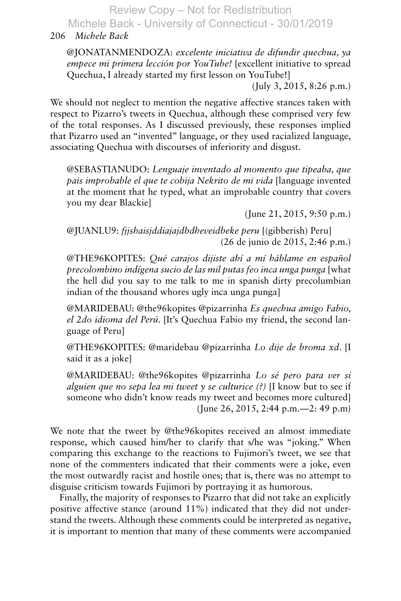Michele Back - University of Connecticut - 30/01/2019

## 206 *Michele Back*

 @JONATANMENDOZA : *excelente iniciativa de difundir quechua, ya empece mi primera lección por YouTube!* [excellent initiative to spread Quechua, I already started my first lesson on YouTube!]

(July 3, 2015, 8:26 p.m.)

We should not neglect to mention the negative affective stances taken with respect to Pizarro's tweets in Quechua, although these comprised very few of the total responses. As I discussed previously, these responses implied that Pizarro used an "invented" language, or they used racialized language, associating Quechua with discourses of inferiority and disgust.

 @SEBASTIANUDO : *Lenguaje inventado al momento que tipeaba, que pais improbable el que te cobija Nekrito de mi vida* [language invented at the moment that he typed, what an improbable country that covers you my dear Blackie]

(June 21, 2015, 9:50 p.m.)

 @JUANLU9 : *fjjshaisjddiajajdbdheveidbeke peru* [(gibberish) Peru] (26 de junio de 2015, 2:46 p.m.)

@THE96KOPITES: Qué carajos dijiste ahí a mí háblame en español *precolombino indígena sucio de las mil putas feo inca unga punga* [what the hell did you say to me talk to me in spanish dirty precolumbian indian of the thousand whores ugly inca unga punga]

@MARIDEBAU: @the96kopites @pizarrinha *Es quechua amigo Fabio*, *el 2do idioma del Perú*. [It's Quechua Fabio my friend, the second language of Peru]

 @THE96KOPITES : @maridebau @pizarrinha *Lo dije de broma xd*. [I said it as a joke]

 @MARIDEBAU : @the96kopites @pizarrinha *Lo sé pero para ver si alguien que no sepa lea mi tweet y se culturice (?)* [I know but to see if someone who didn't know reads my tweet and becomes more cultured] (June 26, 2015, 2:44 p.m.—2: 49 p.m)

We note that the tweet by @the96kopites received an almost immediate response, which caused him/her to clarify that s/he was "joking." When comparing this exchange to the reactions to Fujimori's tweet, we see that none of the commenters indicated that their comments were a joke, even the most outwardly racist and hostile ones; that is, there was no attempt to disguise criticism towards Fujimori by portraying it as humorous.

Finally, the majority of responses to Pizarro that did not take an explicitly positive affective stance (around 11%) indicated that they did not understand the tweets. Although these comments could be interpreted as negative, it is important to mention that many of these comments were accompanied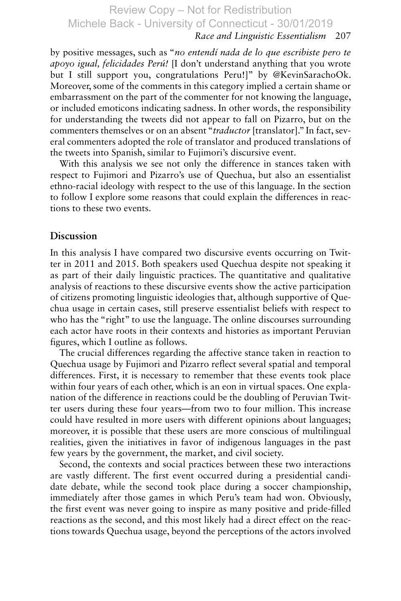## *Race and Linguistic Essentialism* 207

by positive messages, such as " *no entendí nada de lo que escribiste pero te apoyo igual, felicidades Perú!* [I don't understand anything that you wrote but I still support you, congratulations Peru!]" by @KevinSarachoOk. Moreover, some of the comments in this category implied a certain shame or embarrassment on the part of the commenter for not knowing the language, or included emoticons indicating sadness. In other words, the responsibility for understanding the tweets did not appear to fall on Pizarro, but on the commenters themselves or on an absent " *traductor* [translator]." In fact, several commenters adopted the role of translator and produced translations of the tweets into Spanish, similar to Fujimori's discursive event.

With this analysis we see not only the difference in stances taken with respect to Fujimori and Pizarro's use of Quechua, but also an essentialist ethno-racial ideology with respect to the use of this language. In the section to follow I explore some reasons that could explain the differences in reactions to these two events.

#### **Discussion**

In this analysis I have compared two discursive events occurring on Twitter in 2011 and 2015. Both speakers used Quechua despite not speaking it as part of their daily linguistic practices. The quantitative and qualitative analysis of reactions to these discursive events show the active participation of citizens promoting linguistic ideologies that, although supportive of Quechua usage in certain cases, still preserve essentialist beliefs with respect to who has the "right" to use the language. The online discourses surrounding each actor have roots in their contexts and histories as important Peruvian figures, which I outline as follows.

The crucial differences regarding the affective stance taken in reaction to Quechua usage by Fujimori and Pizarro reflect several spatial and temporal differences. First, it is necessary to remember that these events took place within four years of each other, which is an eon in virtual spaces. One explanation of the difference in reactions could be the doubling of Peruvian Twitter users during these four years—from two to four million. This increase could have resulted in more users with different opinions about languages; moreover, it is possible that these users are more conscious of multilingual realities, given the initiatives in favor of indigenous languages in the past few years by the government, the market, and civil society.

Second, the contexts and social practices between these two interactions are vastly different. The first event occurred during a presidential candidate debate, while the second took place during a soccer championship, immediately after those games in which Peru's team had won. Obviously, the first event was never going to inspire as many positive and pride-filled reactions as the second, and this most likely had a direct effect on the reactions towards Quechua usage, beyond the perceptions of the actors involved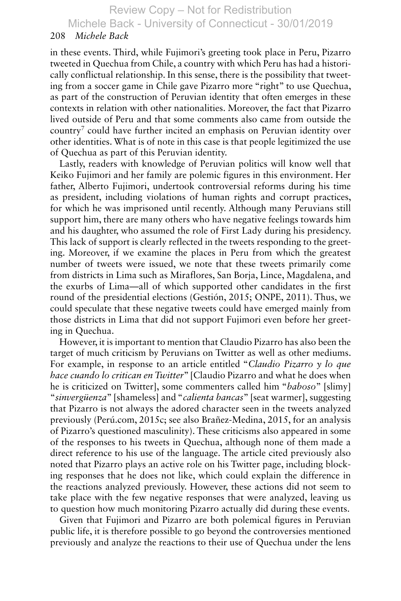Michele Back - University of Connecticut - 30/01/2019

### 208 *Michele Back*

in these events. Third, while Fujimori's greeting took place in Peru, Pizarro tweeted in Quechua from Chile, a country with which Peru has had a historically conflictual relationship. In this sense, there is the possibility that tweeting from a soccer game in Chile gave Pizarro more "right" to use Quechua, as part of the construction of Peruvian identity that often emerges in these contexts in relation with other nationalities. Moreover, the fact that Pizarro lived outside of Peru and that some comments also came from outside the  $country<sup>7</sup>$  could have further incited an emphasis on Peruvian identity over other identities. What is of note in this case is that people legitimized the use of Quechua as part of this Peruvian identity.

Lastly, readers with knowledge of Peruvian politics will know well that Keiko Fujimori and her family are polemic figures in this environment. Her father, Alberto Fujimori, undertook controversial reforms during his time as president, including violations of human rights and corrupt practices, for which he was imprisoned until recently. Although many Peruvians still support him, there are many others who have negative feelings towards him and his daughter, who assumed the role of First Lady during his presidency. This lack of support is clearly reflected in the tweets responding to the greeting. Moreover, if we examine the places in Peru from which the greatest number of tweets were issued, we note that these tweets primarily come from districts in Lima such as Miraflores, San Borja, Lince, Magdalena, and the exurbs of Lima—all of which supported other candidates in the first round of the presidential elections (Gestión, 2015; ONPE, 2011). Thus, we could speculate that these negative tweets could have emerged mainly from those districts in Lima that did not support Fujimori even before her greeting in Quechua.

However, it is important to mention that Claudio Pizarro has also been the target of much criticism by Peruvians on Twitter as well as other mediums. For example, in response to an article entitled " *Claudio Pizarro y lo que hace cuando lo critican en Twitter*" [Claudio Pizarro and what he does when he is criticized on Twitter], some commenters called him " *baboso*" [slimy] " *sinvergüenza*" [shameless] and " *calienta bancas*" [seat warmer], suggesting that Pizarro is not always the adored character seen in the tweets analyzed previously (Perú.com,  $2015c$ ; see also Brañez-Medina,  $2015$ , for an analysis of Pizarro's questioned masculinity). These criticisms also appeared in some of the responses to his tweets in Quechua, although none of them made a direct reference to his use of the language. The article cited previously also noted that Pizarro plays an active role on his Twitter page, including blocking responses that he does not like, which could explain the difference in the reactions analyzed previously. However, these actions did not seem to take place with the few negative responses that were analyzed, leaving us to question how much monitoring Pizarro actually did during these events.

Given that Fujimori and Pizarro are both polemical figures in Peruvian public life, it is therefore possible to go beyond the controversies mentioned previously and analyze the reactions to their use of Quechua under the lens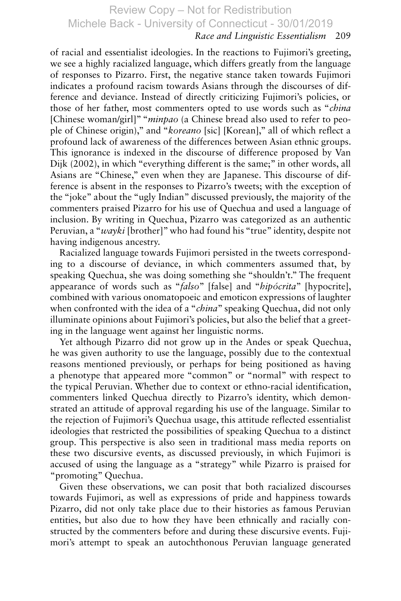### *Race and Linguistic Essentialism* 209

of racial and essentialist ideologies. In the reactions to Fujimori's greeting, we see a highly racialized language, which differs greatly from the language of responses to Pizarro. First, the negative stance taken towards Fujimori indicates a profound racism towards Asians through the discourses of difference and deviance. Instead of directly criticizing Fujimori's policies, or those of her father, most commenters opted to use words such as " *china* [Chinese woman/girl]" " *minpao* (a Chinese bread also used to refer to people of Chinese origin)," and " *koreano* [sic] [Korean]," all of which reflect a profound lack of awareness of the differences between Asian ethnic groups. This ignorance is indexed in the discourse of difference proposed by Van Dijk (2002), in which "everything different is the same;" in other words, all Asians are "Chinese," even when they are Japanese. This discourse of difference is absent in the responses to Pizarro's tweets; with the exception of the "joke" about the "ugly Indian" discussed previously, the majority of the commenters praised Pizarro for his use of Quechua and used a language of inclusion. By writing in Quechua, Pizarro was categorized as an authentic Peruvian, a "*wayki* [brother]" who had found his "true" identity, despite not having indigenous ancestry.

Racialized language towards Fujimori persisted in the tweets corresponding to a discourse of deviance, in which commenters assumed that, by speaking Quechua, she was doing something she "shouldn't." The frequent appearance of words such as " *falso*" [false] and " *hipócrita*" [hypocrite], combined with various onomatopoeic and emoticon expressions of laughter when confronted with the idea of a "*china*" speaking Quechua, did not only illuminate opinions about Fujimori's policies, but also the belief that a greeting in the language went against her linguistic norms.

Yet although Pizarro did not grow up in the Andes or speak Quechua, he was given authority to use the language, possibly due to the contextual reasons mentioned previously, or perhaps for being positioned as having a phenotype that appeared more "common" or "normal" with respect to the typical Peruvian. Whether due to context or ethno-racial identification, commenters linked Quechua directly to Pizarro's identity, which demonstrated an attitude of approval regarding his use of the language. Similar to the rejection of Fujimori's Quechua usage, this attitude reflected essentialist ideologies that restricted the possibilities of speaking Quechua to a distinct group. This perspective is also seen in traditional mass media reports on these two discursive events, as discussed previously, in which Fujimori is accused of using the language as a "strategy" while Pizarro is praised for "promoting" Quechua.

Given these observations, we can posit that both racialized discourses towards Fujimori, as well as expressions of pride and happiness towards Pizarro, did not only take place due to their histories as famous Peruvian entities, but also due to how they have been ethnically and racially constructed by the commenters before and during these discursive events. Fujimori's attempt to speak an autochthonous Peruvian language generated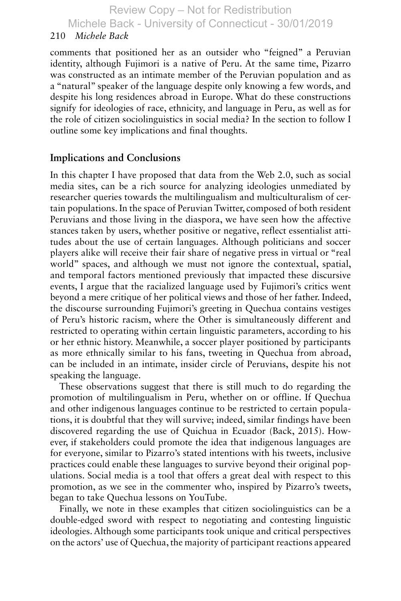Michele Back - University of Connecticut - 30/01/2019

### 210 *Michele Back*

comments that positioned her as an outsider who "feigned" a Peruvian identity, although Fujimori is a native of Peru. At the same time, Pizarro was constructed as an intimate member of the Peruvian population and as a "natural" speaker of the language despite only knowing a few words, and despite his long residences abroad in Europe. What do these constructions signify for ideologies of race, ethnicity, and language in Peru, as well as for the role of citizen sociolinguistics in social media? In the section to follow I outline some key implications and final thoughts.

## **Implications and Conclusions**

In this chapter I have proposed that data from the Web 2.0, such as social media sites, can be a rich source for analyzing ideologies unmediated by researcher queries towards the multilingualism and multiculturalism of certain populations. In the space of Peruvian Twitter, composed of both resident Peruvians and those living in the diaspora, we have seen how the affective stances taken by users, whether positive or negative, reflect essentialist attitudes about the use of certain languages. Although politicians and soccer players alike will receive their fair share of negative press in virtual or "real world" spaces, and although we must not ignore the contextual, spatial, and temporal factors mentioned previously that impacted these discursive events, I argue that the racialized language used by Fujimori's critics went beyond a mere critique of her political views and those of her father. Indeed, the discourse surrounding Fujimori's greeting in Quechua contains vestiges of Peru's historic racism, where the Other is simultaneously different and restricted to operating within certain linguistic parameters, according to his or her ethnic history. Meanwhile, a soccer player positioned by participants as more ethnically similar to his fans, tweeting in Quechua from abroad, can be included in an intimate, insider circle of Peruvians, despite his not speaking the language.

These observations suggest that there is still much to do regarding the promotion of multilingualism in Peru, whether on or offline. If Quechua and other indigenous languages continue to be restricted to certain populations, it is doubtful that they will survive; indeed, similar findings have been discovered regarding the use of Quichua in Ecuador (Back, 2015). However, if stakeholders could promote the idea that indigenous languages are for everyone, similar to Pizarro's stated intentions with his tweets, inclusive practices could enable these languages to survive beyond their original populations. Social media is a tool that offers a great deal with respect to this promotion, as we see in the commenter who, inspired by Pizarro's tweets, began to take Quechua lessons on YouTube.

Finally, we note in these examples that citizen sociolinguistics can be a double-edged sword with respect to negotiating and contesting linguistic ideologies. Although some participants took unique and critical perspectives on the actors' use of Quechua, the majority of participant reactions appeared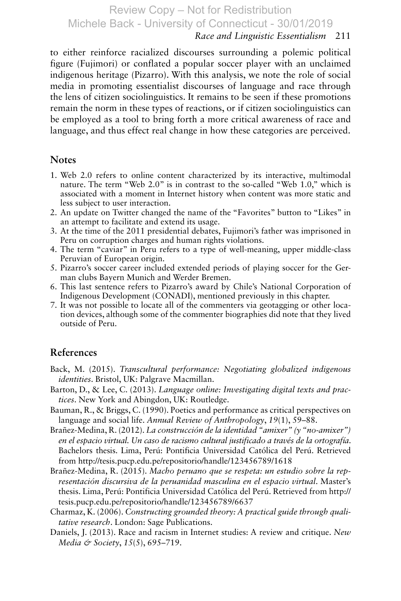## *Race and Linguistic Essentialism* 211

to either reinforce racialized discourses surrounding a polemic political figure (Fujimori) or conflated a popular soccer player with an unclaimed indigenous heritage (Pizarro). With this analysis, we note the role of social media in promoting essentialist discourses of language and race through the lens of citizen sociolinguistics. It remains to be seen if these promotions remain the norm in these types of reactions, or if citizen sociolinguistics can be employed as a tool to bring forth a more critical awareness of race and language, and thus effect real change in how these categories are perceived.

#### **Notes**

- 1 . Web 2.0 refers to online content characterized by its interactive, multimodal nature. The term "Web 2.0" is in contrast to the so-called "Web 1.0," which is associated with a moment in Internet history when content was more static and less subject to user interaction.
- 2 . An update on Twitter changed the name of the "Favorites" button to "Likes" in an attempt to facilitate and extend its usage.
- 3 . At the time of the 2011 presidential debates, Fujimori's father was imprisoned in Peru on corruption charges and human rights violations.
- 4 . The term "caviar" in Peru refers to a type of well-meaning, upper middle-class Peruvian of European origin.
- 5 . Pizarro's soccer career included extended periods of playing soccer for the German clubs Bayern Munich and Werder Bremen.
- 6 . This last sentence refers to Pizarro's award by Chile's National Corporation of Indigenous Development (CONADI), mentioned previously in this chapter.
- 7 . It was not possible to locate all of the commenters via geotagging or other location devices, although some of the commenter biographies did note that they lived outside of Peru.

#### **References**

- Back, M. (2015). *Transcultural performance: Negotiating globalized indigenous identities* . Bristol, UK: Palgrave Macmillan.
- Barton, D., & Lee, C. (2013). *Language online: Investigating digital texts and practices* . New York and Abingdon, UK: Routledge.
- Bauman, R., & Briggs, C. (1990). Poetics and performance as critical perspectives on language and social life. *Annual Review of Anthropology*, *19* (1), 59–88.
- Brañez-Medina, R. (2012). *La construcción de la identidad "amixer" (y "no-amixer") en el espacio virtual. Un caso de racismo cultural justificado a través de la ortografía*. Bachelors thesis. Lima, Perú: Pontificia Universidad Católica del Perú. Retrieved from http://tesis.pucp.edu.pe/repositorio/handle/123456789/1618
- Brañez-Medina, R. (2015). *Macho peruano que se respeta: un estudio sobre la representación discursiva de la peruanidad masculina en el espacio virtual*. Master's thesis. Lima, Perú: Pontificia Universidad Católica del Perú. Retrieved from http:// tesis.pucp.edu.pe/repositorio/handle/123456789/6637
- Charmaz, K. (2006). *Constructing grounded theory: A practical guide through qualitative research* . London: Sage Publications.
- Daniels, J. (2013). Race and racism in Internet studies: A review and critique. *New Media & Society*, 15(5), 695–719.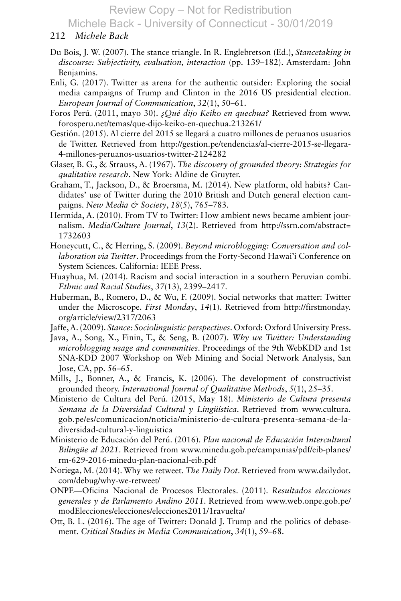Michele Back - University of Connecticut - 30/01/2019

#### 212 *Michele Back*

- Du Bois, J. W. (2007). The stance triangle. In R. Englebretson (Ed.), *Stancetaking in discourse: Subjectivity, evaluation, interaction* (pp. 139–182). Amsterdam: John Benjamins.
- Enli, G. (2017). Twitter as arena for the authentic outsider: Exploring the social media campaigns of Trump and Clinton in the 2016 US presidential election. *European Journal of Communication*, *32* (1), 50–61.
- Foros Perú. (2011, mayo 30). *¿Qué dijo Keiko en quechua?* Retrieved from www. forosperu.net/temas/que-dijo-keiko-en-quechua.213261/
- Gestión. (2015). Al cierre del 2015 se llegará a cuatro millones de peruanos usuarios de Twitter. Retrieved from http://gestion.pe/tendencias/al-cierre-2015-se-llegara-4-millones-peruanos-usuarios-twitter-2124282
- Glaser, B. G., & Strauss, A. (1967). *The discovery of grounded theory: Strategies for qualitative research* . New York: Aldine de Gruyter.
- Graham, T., Jackson, D., & Broersma, M. (2014). New platform, old habits? Candidates' use of Twitter during the 2010 British and Dutch general election campaigns. *New Media & Society*, *18* (5), 765–783.
- Hermida, A. (2010). From TV to Twitter: How ambient news became ambient journalism. *Media/Culture Journal*, *13*(2). Retrieved from http://ssrn.com/abstract= 1732603
- Honeycutt, C., & Herring, S. (2009). *Beyond microblogging: Conversation and collaboration via Twitter*. Proceedings from the Forty-Second Hawai'i Conference on System Sciences. California: IEEE Press.
- Huayhua, M. (2014). Racism and social interaction in a southern Peruvian combi. *Ethnic and Racial Studies*, *37* (13), 2399–2417.
- Huberman, B., Romero, D., & Wu, F. (2009). Social networks that matter: Twitter under the Microscope. *First Monday*, *14*(1). Retrieved from http://firstmonday. org/article/view/2317/2063
- Jaffe, A. (2009). *Stance: Sociolinguistic perspectives*. Oxford: Oxford University Press.
- Java, A., Song, X., Finin, T., & Seng, B. (2007). *Why we Twitter: Understanding microblogging usage and communities*. Proceedings of the 9th WebKDD and 1st SNA-KDD 2007 Workshop on Web Mining and Social Network Analysis, San Jose, CA, pp. 56–65.
- Mills, J., Bonner, A., & Francis, K. (2006). The development of constructivist grounded theory. *International Journal of Qualitative Methods*, *5* (1), 25–35.
- Ministerio de Cultura del Perú. (2015, May 18). *Ministerio de Cultura presenta Semana de la Diversidad Cultural y Lingüística*. Retrieved from www.cultura. gob.pe/es/comunicacion/noticia/ministerio-de-cultura-presenta-semana-de-ladiversidad-cultural-y-linguistica
- Ministerio de Educación del Perú. (2016). *Plan nacional de Educación Intercultural Bilingüe al 2021*. Retrieved from www.minedu.gob.pe/campanias/pdf/eib-planes/ rm-629-2016-minedu-plan-nacional-eib.pdf
- Noriega, M. (2014). Why we retweet. *The Daily Dot*. Retrieved from www.dailydot. com/debug/why-we-retweet/
- ONPE—Oficina Nacional de Procesos Electorales. (2011). *Resultados elecciones generales y de Parlamento Andino 2011*. Retrieved from www.web.onpe.gob.pe/ modElecciones/elecciones/elecciones2011/1ravuelta/
- Ott, B. L. (2016). The age of Twitter: Donald J. Trump and the politics of debasement. *Critical Studies in Media Communication*, *34* (1), 59–68.